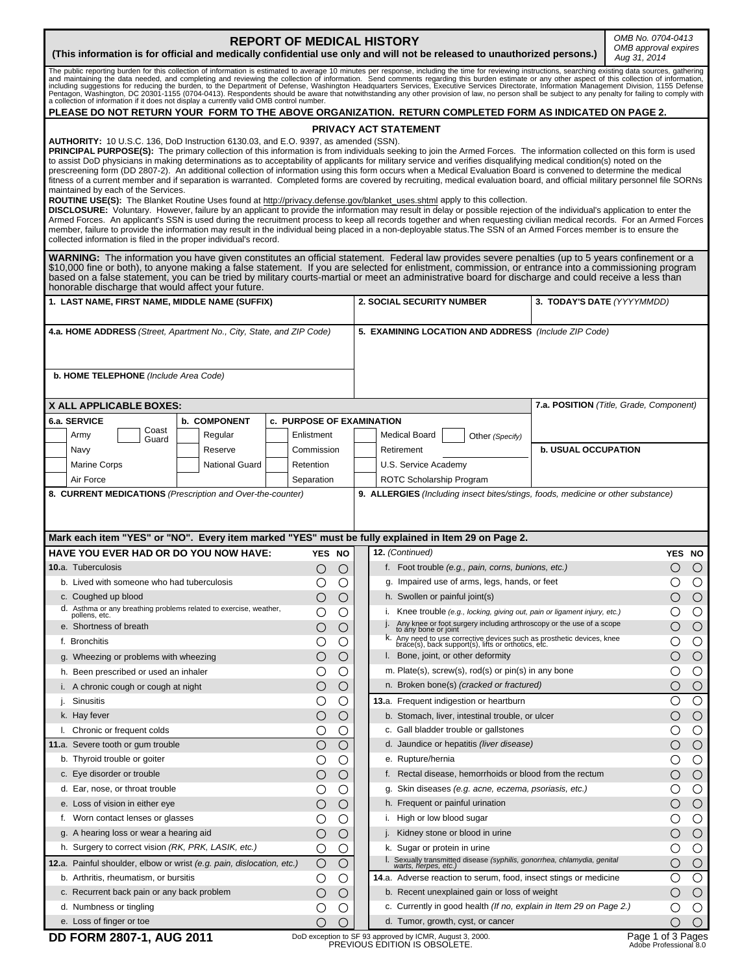| <b>REPORT OF MEDICAL HISTORY</b><br>(This information is for official and medically confidential use only and will not be released to unauthorized persons.)                                                                                                                                                                                                                                                                                                                                                                                                                                                                                                                                                                 | OMB No. 0704-0413<br>OMB approval expires<br>Aug 31, 2014 |                  |                                               |                                                                                                                            |                            |                                         |  |
|------------------------------------------------------------------------------------------------------------------------------------------------------------------------------------------------------------------------------------------------------------------------------------------------------------------------------------------------------------------------------------------------------------------------------------------------------------------------------------------------------------------------------------------------------------------------------------------------------------------------------------------------------------------------------------------------------------------------------|-----------------------------------------------------------|------------------|-----------------------------------------------|----------------------------------------------------------------------------------------------------------------------------|----------------------------|-----------------------------------------|--|
| The public reporting burden for this collection of information is estimated to average 10 minutes per response, including the time for reviewing instructions, searching existing data sources, gathering and maintainary the<br>a collection of information if it does not display a currently valid OMB control number.                                                                                                                                                                                                                                                                                                                                                                                                    |                                                           |                  |                                               |                                                                                                                            |                            |                                         |  |
| PLEASE DO NOT RETURN YOUR FORM TO THE ABOVE ORGANIZATION. RETURN COMPLETED FORM AS INDICATED ON PAGE 2.                                                                                                                                                                                                                                                                                                                                                                                                                                                                                                                                                                                                                      |                                                           |                  |                                               |                                                                                                                            |                            |                                         |  |
| PRIVACY ACT STATEMENT<br>AUTHORITY: 10 U.S.C. 136, DoD Instruction 6130.03, and E.O. 9397, as amended (SSN).<br>PRINCIPAL PURPOSE(S): The primary collection of this information is from individuals seeking to join the Armed Forces. The information collected on this form is used                                                                                                                                                                                                                                                                                                                                                                                                                                        |                                                           |                  |                                               |                                                                                                                            |                            |                                         |  |
| to assist DoD physicians in making determinations as to acceptability of applicants for military service and verifies disqualifying medical condition(s) noted on the<br>prescreening form (DD 2807-2). An additional collection of information using this form occurs when a Medical Evaluation Board is convened to determine the medical<br>fitness of a current member and if separation is warranted. Completed forms are covered by recruiting, medical evaluation board, and official military personnel file SORNs<br>maintained by each of the Services.                                                                                                                                                            |                                                           |                  |                                               |                                                                                                                            |                            |                                         |  |
| ROUTINE USE(S): The Blanket Routine Uses found at http://privacy.defense.gov/blanket_uses.shtml apply to this collection.<br>DISCLOSURE: Voluntary. However, failure by an applicant to provide the information may result in delay or possible rejection of the individual's application to enter the<br>Armed Forces. An applicant's SSN is used during the recruitment process to keep all records together and when requesting civilian medical records. For an Armed Forces<br>member, failure to provide the information may result in the individual being placed in a non-deployable status. The SSN of an Armed Forces member is to ensure the<br>collected information is filed in the proper individual's record. |                                                           |                  |                                               |                                                                                                                            |                            |                                         |  |
| WARNING: The information you have given constitutes an official statement. Federal law provides severe penalties (up to 5 years confinement or a<br>\$10,000 fine or both), to anyone making a false statement. If you are selected for enlistment, commission, or entrance into a commissioning program<br>based on a false statement, you can be tried by military courts-martial or meet an administrative board for discharge and could receive a less than<br>honorable discharge that would affect your future.                                                                                                                                                                                                        |                                                           |                  |                                               |                                                                                                                            |                            |                                         |  |
| 1. LAST NAME, FIRST NAME, MIDDLE NAME (SUFFIX)                                                                                                                                                                                                                                                                                                                                                                                                                                                                                                                                                                                                                                                                               |                                                           |                  |                                               | <b>2. SOCIAL SECURITY NUMBER</b>                                                                                           |                            | 3. TODAY'S DATE (YYYYMMDD)              |  |
| 4.a. HOME ADDRESS (Street, Apartment No., City, State, and ZIP Code)                                                                                                                                                                                                                                                                                                                                                                                                                                                                                                                                                                                                                                                         |                                                           |                  |                                               | 5. EXAMINING LOCATION AND ADDRESS (Include ZIP Code)                                                                       |                            |                                         |  |
| <b>b. HOME TELEPHONE</b> (Include Area Code)                                                                                                                                                                                                                                                                                                                                                                                                                                                                                                                                                                                                                                                                                 |                                                           |                  |                                               |                                                                                                                            |                            |                                         |  |
| X ALL APPLICABLE BOXES:                                                                                                                                                                                                                                                                                                                                                                                                                                                                                                                                                                                                                                                                                                      |                                                           |                  |                                               |                                                                                                                            |                            | 7.a. POSITION (Title, Grade, Component) |  |
| 6.a. SERVICE<br><b>b. COMPONENT</b><br><b>c. PURPOSE OF EXAMINATION</b><br>Coast                                                                                                                                                                                                                                                                                                                                                                                                                                                                                                                                                                                                                                             |                                                           |                  |                                               |                                                                                                                            |                            |                                         |  |
| Army<br>Regular<br>Guard                                                                                                                                                                                                                                                                                                                                                                                                                                                                                                                                                                                                                                                                                                     | Enlistment                                                |                  |                                               | Medical Board<br>Other (Specify)                                                                                           |                            |                                         |  |
| Navy<br>Reserve                                                                                                                                                                                                                                                                                                                                                                                                                                                                                                                                                                                                                                                                                                              | Commission                                                |                  |                                               | Retirement                                                                                                                 | <b>b. USUAL OCCUPATION</b> |                                         |  |
| <b>Marine Corps</b><br>National Guard                                                                                                                                                                                                                                                                                                                                                                                                                                                                                                                                                                                                                                                                                        | Retention                                                 |                  |                                               | U.S. Service Academy                                                                                                       |                            |                                         |  |
| Air Force<br>8. CURRENT MEDICATIONS (Prescription and Over-the-counter)                                                                                                                                                                                                                                                                                                                                                                                                                                                                                                                                                                                                                                                      | Separation                                                |                  |                                               | ROTC Scholarship Program<br>9. ALLERGIES (Including insect bites/stings, foods, medicine or other substance)               |                            |                                         |  |
|                                                                                                                                                                                                                                                                                                                                                                                                                                                                                                                                                                                                                                                                                                                              |                                                           |                  |                                               |                                                                                                                            |                            |                                         |  |
| Mark each item "YES" or "NO". Every item marked "YES" must be fully explained in Item 29 on Page 2.                                                                                                                                                                                                                                                                                                                                                                                                                                                                                                                                                                                                                          |                                                           |                  |                                               |                                                                                                                            |                            |                                         |  |
| <b>HAVE YOU EVER HAD OR DO YOU NOW HAVE:</b>                                                                                                                                                                                                                                                                                                                                                                                                                                                                                                                                                                                                                                                                                 | YES NO                                                    |                  |                                               | 12. (Continued)                                                                                                            |                            | YES NO                                  |  |
| <b>10.a.</b> Tuberculosis                                                                                                                                                                                                                                                                                                                                                                                                                                                                                                                                                                                                                                                                                                    | $\bigcirc$                                                | $\circ$          |                                               | f. Foot trouble (e.g., pain, corns, bunions, etc.)                                                                         |                            | $\circ$<br>О                            |  |
| b. Lived with someone who had tuberculosis                                                                                                                                                                                                                                                                                                                                                                                                                                                                                                                                                                                                                                                                                   | $\circ$                                                   | $\bigcirc$       | g. Impaired use of arms, legs, hands, or feet |                                                                                                                            | $\bigcirc$<br>$\bigcirc$   |                                         |  |
| c. Coughed up blood                                                                                                                                                                                                                                                                                                                                                                                                                                                                                                                                                                                                                                                                                                          | $\circ$                                                   | $\bigcirc$       |                                               | h. Swollen or painful joint(s)                                                                                             |                            | $\bigcirc$<br>$\bigcirc$                |  |
| d. Asthma or any breathing problems related to exercise, weather,<br>pollens, etc.                                                                                                                                                                                                                                                                                                                                                                                                                                                                                                                                                                                                                                           | O                                                         | $\left(\right)$  |                                               | i. Knee trouble (e.g., locking, giving out, pain or ligament injury, etc.)                                                 |                            | $\circ$<br>O                            |  |
| e. Shortness of breath                                                                                                                                                                                                                                                                                                                                                                                                                                                                                                                                                                                                                                                                                                       | О                                                         | Ő                |                                               | Any knee or foot surgery including arthroscopy or the use of a scope to any bone or joint                                  |                            | O<br>$\circ$                            |  |
| f. Bronchitis                                                                                                                                                                                                                                                                                                                                                                                                                                                                                                                                                                                                                                                                                                                | O                                                         | Ő                |                                               | k. Any need to use corrective devices such as prosthetic devices, knee brace(s), back support(s), lifts or orthotics, etc. |                            | O<br>O                                  |  |
| g. Wheezing or problems with wheezing                                                                                                                                                                                                                                                                                                                                                                                                                                                                                                                                                                                                                                                                                        | Ő                                                         | $\bigcirc$       |                                               | I. Bone, joint, or other deformity                                                                                         |                            | $\bigcirc$<br>O                         |  |
| h. Been prescribed or used an inhaler                                                                                                                                                                                                                                                                                                                                                                                                                                                                                                                                                                                                                                                                                        | O                                                         | $\left( \right)$ |                                               | m. Plate(s), screw(s), rod(s) or pin(s) in any bone                                                                        |                            | O<br>O                                  |  |
| i. A chronic cough or cough at night                                                                                                                                                                                                                                                                                                                                                                                                                                                                                                                                                                                                                                                                                         | O                                                         | O                |                                               | n. Broken bone(s) (cracked or fractured)                                                                                   |                            | ( )<br>O                                |  |
| Sinusitis                                                                                                                                                                                                                                                                                                                                                                                                                                                                                                                                                                                                                                                                                                                    | O                                                         | Ő                |                                               | 13.a. Frequent indigestion or heartburn                                                                                    |                            | $\circ$<br>Ο                            |  |
| k. Hay fever                                                                                                                                                                                                                                                                                                                                                                                                                                                                                                                                                                                                                                                                                                                 | О                                                         | $\bigcirc$       |                                               | b. Stomach, liver, intestinal trouble, or ulcer                                                                            |                            | $\bigcirc$<br>O                         |  |
| I. Chronic or frequent colds                                                                                                                                                                                                                                                                                                                                                                                                                                                                                                                                                                                                                                                                                                 | $\bigcirc$                                                | С.<br>$\bigcirc$ |                                               | c. Gall bladder trouble or gallstones<br>d. Jaundice or hepatitis (liver disease)                                          |                            | $\circ$<br>O                            |  |
| 11.a. Severe tooth or gum trouble<br>b. Thyroid trouble or goiter                                                                                                                                                                                                                                                                                                                                                                                                                                                                                                                                                                                                                                                            | O                                                         | Ο                |                                               | e. Rupture/hernia                                                                                                          |                            | $\circ$<br>O<br>$\circ$<br>O            |  |
| c. Eye disorder or trouble                                                                                                                                                                                                                                                                                                                                                                                                                                                                                                                                                                                                                                                                                                   | О                                                         | O                |                                               | f. Rectal disease, hemorrhoids or blood from the rectum                                                                    |                            | $\bigcirc$<br>O                         |  |
| d. Ear, nose, or throat trouble                                                                                                                                                                                                                                                                                                                                                                                                                                                                                                                                                                                                                                                                                              | O                                                         | O                |                                               | g. Skin diseases (e.g. acne, eczema, psoriasis, etc.)                                                                      |                            | O<br>O                                  |  |
| e. Loss of vision in either eye                                                                                                                                                                                                                                                                                                                                                                                                                                                                                                                                                                                                                                                                                              | О                                                         | O                |                                               | h. Frequent or painful urination                                                                                           |                            | O<br>$\circ$                            |  |
| f. Worn contact lenses or glasses                                                                                                                                                                                                                                                                                                                                                                                                                                                                                                                                                                                                                                                                                            | O                                                         | O                |                                               | i. High or low blood sugar                                                                                                 |                            | O<br>O                                  |  |
| g. A hearing loss or wear a hearing aid                                                                                                                                                                                                                                                                                                                                                                                                                                                                                                                                                                                                                                                                                      | O                                                         | O                |                                               | j. Kidney stone or blood in urine                                                                                          |                            | $\bigcirc$<br>O                         |  |
| h. Surgery to correct vision (RK, PRK, LASIK, etc.)                                                                                                                                                                                                                                                                                                                                                                                                                                                                                                                                                                                                                                                                          | C                                                         | O                |                                               | k. Sugar or protein in urine                                                                                               |                            | $\circ$<br>O                            |  |
| 12.a. Painful shoulder, elbow or wrist (e.g. pain, dislocation, etc.)                                                                                                                                                                                                                                                                                                                                                                                                                                                                                                                                                                                                                                                        | $\bigcirc$                                                | $\bigcirc$       |                                               | l. Sexually transmitted disease (syphilis, gonorrhea, chlamydia, genital<br>warts, herpes, etc.)                           |                            | ( )<br>O                                |  |
| b. Arthritis, rheumatism, or bursitis                                                                                                                                                                                                                                                                                                                                                                                                                                                                                                                                                                                                                                                                                        | O                                                         | O                |                                               | 14.a. Adverse reaction to serum, food, insect stings or medicine                                                           |                            | $\circ$<br>Ο                            |  |
| c. Recurrent back pain or any back problem                                                                                                                                                                                                                                                                                                                                                                                                                                                                                                                                                                                                                                                                                   | O                                                         | $\left(\right)$  |                                               | b. Recent unexplained gain or loss of weight                                                                               |                            | $\bigcirc$<br>O                         |  |
| d. Numbness or tingling                                                                                                                                                                                                                                                                                                                                                                                                                                                                                                                                                                                                                                                                                                      | C                                                         | ( )              |                                               | c. Currently in good health (If no, explain in Item 29 on Page 2.)                                                         |                            | $\circ$<br>O                            |  |
| e. Loss of finger or toe                                                                                                                                                                                                                                                                                                                                                                                                                                                                                                                                                                                                                                                                                                     | O)                                                        | $\left(\right)$  |                                               | d. Tumor, growth, cyst, or cancer                                                                                          |                            | $\bigcirc$<br>O                         |  |

**DD FORM 2807-1, AUG 2011** DoD exception to SF 93 approved by ICMR, August 3, 2000.<br>PREVIOUS EDITION IS OBSOLETE.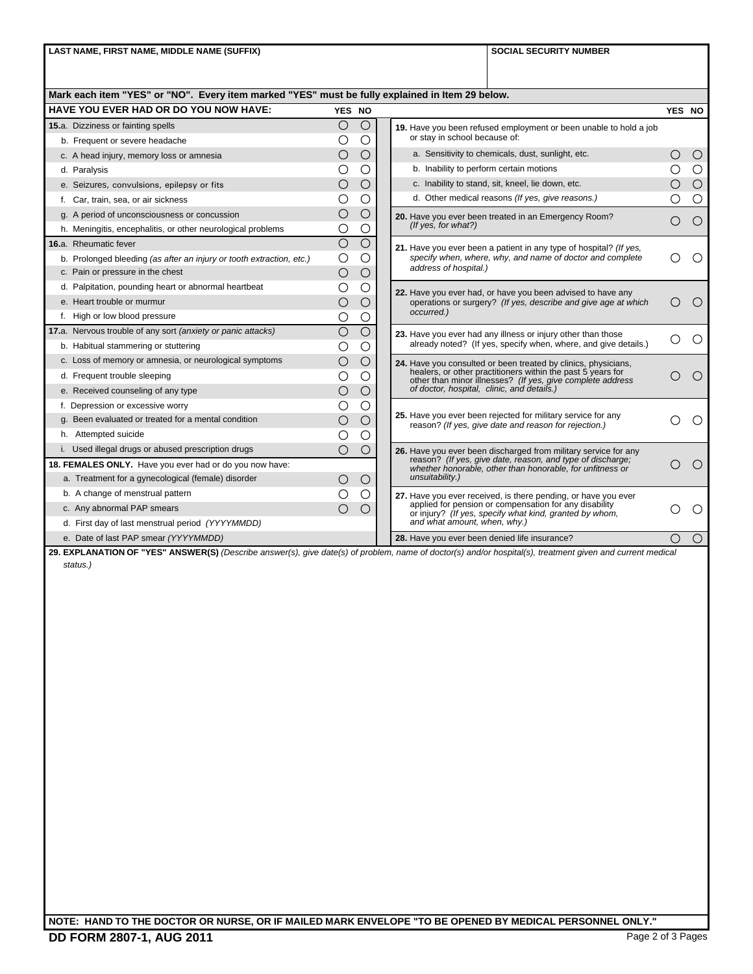LAST NAME, FIRST NAME, MIDDLE NAME (SUFFIX) **SOCIAL SECURITY NUMBER SOCIAL SECURITY NUMBER** 

| <b>HAVE YOU EVER HAD OR DO YOU NOW HAVE:</b>                         | YES NO         |                          |                                                                                                                                                                                                                                           | YES NO                                      |                  |
|----------------------------------------------------------------------|----------------|--------------------------|-------------------------------------------------------------------------------------------------------------------------------------------------------------------------------------------------------------------------------------------|---------------------------------------------|------------------|
| 15.a. Dizziness or fainting spells                                   | $\bigcirc$     | $\bigcirc$<br>$\bigcirc$ | 19. Have you been refused employment or been unable to hold a job<br>or stav in school because of:                                                                                                                                        |                                             |                  |
| b. Frequent or severe headache                                       | O              |                          |                                                                                                                                                                                                                                           |                                             |                  |
| c. A head injury, memory loss or amnesia                             | Ο              | $\bigcirc$               | a. Sensitivity to chemicals, dust, sunlight, etc.<br>b. Inability to perform certain motions                                                                                                                                              | $\left(\begin{array}{c} \end{array}\right)$ | $\circ$          |
| d. Paralysis                                                         | С              | $\bigcirc$               |                                                                                                                                                                                                                                           |                                             | $\bigcirc$       |
| e. Seizures, convulsions, epilepsy or fits                           | $\bigcirc$     | $\bigcirc$               | c. Inability to stand, sit, kneel, lie down, etc.                                                                                                                                                                                         | ∩                                           | $\bigcirc$       |
| f. Car, train, sea, or air sickness                                  | O              | $\circ$                  | d. Other medical reasons (If yes, give reasons.)                                                                                                                                                                                          |                                             | $\bigcirc$       |
| g. A period of unconsciousness or concussion                         | О              | $\bigcirc$               | 20. Have you ever been treated in an Emergency Room?<br>(If yes, for what?)                                                                                                                                                               |                                             | $\bigcirc$       |
| h. Meningitis, encephalitis, or other neurological problems          | O              | O                        |                                                                                                                                                                                                                                           |                                             |                  |
| 16.a. Rheumatic fever                                                | $\bigcirc$     | $\bigcirc$               | 21. Have you ever been a patient in any type of hospital? (If yes,                                                                                                                                                                        |                                             |                  |
| b. Prolonged bleeding (as after an injury or tooth extraction, etc.) | $\circ$        | $\bigcirc$               | specify when, where, why, and name of doctor and complete<br>address of hospital.)                                                                                                                                                        |                                             | $\left($ )       |
| c. Pain or pressure in the chest                                     | $\bigcirc$     | $\bigcirc$               |                                                                                                                                                                                                                                           |                                             |                  |
| d. Palpitation, pounding heart or abnormal heartbeat                 | O              | O                        | 22. Have you ever had, or have you been advised to have any<br>operations or surgery? (If yes, describe and give age at which<br>occurred.)                                                                                               |                                             |                  |
| e. Heart trouble or murmur                                           | $\bigcirc$     | $\bigcirc$               |                                                                                                                                                                                                                                           |                                             | $\bigcirc$       |
| f. High or low blood pressure                                        | О              | $\circ$                  |                                                                                                                                                                                                                                           |                                             |                  |
| 17.a. Nervous trouble of any sort (anxiety or panic attacks)         | $\overline{O}$ | $\overline{O}$           | 23. Have you ever had any illness or injury other than those<br>already noted? (If yes, specify when, where, and give details.)                                                                                                           |                                             | $\bigcirc$       |
| b. Habitual stammering or stuttering                                 | С              | ∩                        |                                                                                                                                                                                                                                           |                                             |                  |
| c. Loss of memory or amnesia, or neurological symptoms               | $\bigcirc$     | $\bigcirc$               | 24. Have you consulted or been treated by clinics, physicians,<br>healers, or other practitioners within the past 5 years for<br>other than minor illnesses? (If yes, give complete address<br>of doctor, hospital, clinic, and details.) |                                             |                  |
| d. Frequent trouble sleeping                                         | О              | $\bigcirc$               |                                                                                                                                                                                                                                           |                                             | $\bigcirc$       |
| e. Received counseling of any type                                   | $\bigcirc$     | $\bigcirc$               |                                                                                                                                                                                                                                           |                                             |                  |
| f. Depression or excessive worry                                     | O              | О                        |                                                                                                                                                                                                                                           |                                             |                  |
| g. Been evaluated or treated for a mental condition                  | О              | $\bigcirc$               | 25. Have you ever been rejected for military service for any<br>reason? (If yes, give date and reason for rejection.)                                                                                                                     |                                             | ◯                |
| h. Attempted suicide                                                 | О              | О                        |                                                                                                                                                                                                                                           |                                             |                  |
| i. Used illegal drugs or abused prescription drugs                   | Ω              | $\bigcirc$               | 26. Have you ever been discharged from military service for any                                                                                                                                                                           |                                             |                  |
| 18. FEMALES ONLY. Have you ever had or do you now have:              |                |                          | reason? (If yes, give date, reason, and type of discharge;<br>whether honorable, other than honorable, for unfitness or                                                                                                                   |                                             | $\bigcirc$       |
| a. Treatment for a gynecological (female) disorder                   | O              | $\bigcirc$               | unsuitability.)                                                                                                                                                                                                                           |                                             |                  |
| b. A change of menstrual pattern                                     | Ω              | $\circ$                  | 27. Have you ever received, is there pending, or have you ever                                                                                                                                                                            |                                             |                  |
| c. Any abnormal PAP smears                                           | $\bigcirc$     | $\bigcirc$               | applied for pension or compensation for any disability<br>or injury? (If yes, specify what kind, granted by whom, and what amount, when, why.)                                                                                            |                                             | $\left( \right)$ |
| d. First day of last menstrual period (YYYYMMDD)                     |                |                          |                                                                                                                                                                                                                                           |                                             |                  |
| e. Date of last PAP smear (YYYYMMDD)                                 |                |                          | 28. Have you ever been denied life insurance?                                                                                                                                                                                             | ∩                                           | $\circ$          |

**NOTE: HAND TO THE DOCTOR OR NURSE, OR IF MAILED MARK ENVELOPE "TO BE OPENED BY MEDICAL PERSONNEL ONLY."**